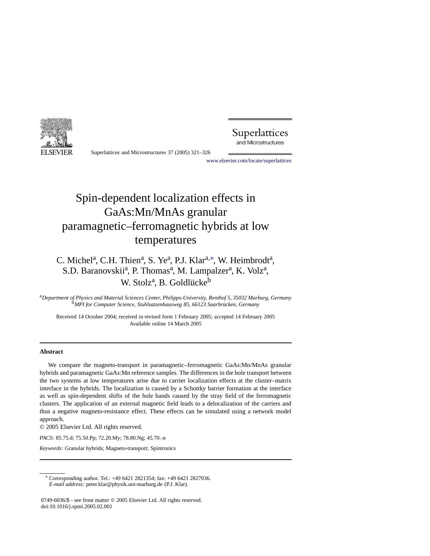

Superlattices and Microstructures 37 (2005) 321–326

Superlattices and Microstructures

[www.elsevier.com/locate/superlattices](http://www.elsevier.com/locate/superlattices)

# Spin-dependent localization effects in GaAs:Mn/MnAs granular paramagnetic–ferromagnetic hybrids at low temperatures

# C. Michel<sup>a</sup>, C.H. Thien<sup>a</sup>, S. Ye<sup>a</sup>, P.J. Klar<sup>a,\*</sup>, W. Heimbrodt<sup>a</sup>, S.D. Baranovskii<sup>a</sup>, P. Thomas<sup>a</sup>, M. Lampalzer<sup>a</sup>, K. Volz<sup>a</sup>, W. Stolz<sup>a</sup>, B. Goldlücke<sup>b</sup>

<sup>a</sup>*Department of Physics and Material Sciences Center, Philipps-University, Renthof 5, 35032 Marburg, Germany* <sup>b</sup>*MPI for Computer Science, Stuhlsatzenhausweg 85, 66123 Saarbrücken, Germany*

Received 14 October 2004; received in revised form 1 February 2005; accepted 14 February 2005 Available online 14 March 2005

### **Abstract**

We compare the magneto-transport in paramagnetic–ferromagnetic GaAs:Mn/MnAs granular hybrids and paramagnetic GaAs:Mn reference samples. The differences in the hole transport between the two systems at low temperatures arise due to carrier localization effects at the cluster–matrix interface in the hybrids. The localization is caused by a Schottky barrier formation at the interface as well as spin-dependent shifts of the hole bands caused by the stray field of the ferromagnetic clusters. The application of an external magnetic field leads to a delocalization of the carriers and thus a negative magneto-resistance effect. These effects can be simulated using a network model approach.

© 2005 Elsevier Ltd. All rights reserved.

*PACS:* 85.75.d; 75.50.Pp; 72.20.My; 78.80.Ng; 45.70.-n

*Keywords:* Granular hybrids; Magneto-transport; Spintronics

<span id="page-0-0"></span>∗ Corresponding author. Tel.: +49 6421 2821354; fax: +49 6421 2827036. *E-mail address:* peter.klar@physik.uni-marburg.de (P.J. Klar).

0749-6036/\$ - see front matter © 2005 Elsevier Ltd. All rights reserved. doi:10.1016/j.spmi.2005.02.001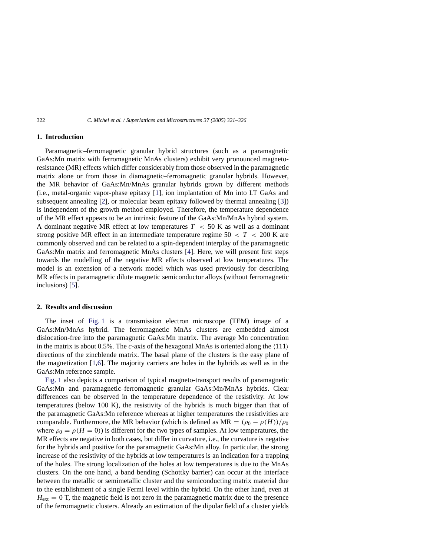# **1. Introduction**

Paramagnetic–ferromagnetic granular hybrid structures (such as a paramagnetic GaAs:Mn matrix with ferromagnetic MnAs clusters) exhibit very pronounced magnetoresistance (MR) effects which differ considerably from those observed in the paramagnetic matrix alone or from those in diamagnetic–ferromagnetic granular hybrids. However, the MR behavior of GaAs:Mn/MnAs granular hybrids grown by different methods (i.e., metal-organic vapor-phase epitaxy [\[1\]](#page-4-0), ion implantation of Mn into LT GaAs and subsequent annealing [\[2\]](#page-4-1), or molecular beam epitaxy followed by thermal annealing [\[3\]](#page-4-2)) is independent of the growth method employed. Therefore, the temperature dependence of the MR effect appears to be an intrinsic feature of the GaAs:Mn/MnAs hybrid system. A dominant negative MR effect at low temperatures  $T < 50$  K as well as a dominant strong positive MR effect in an intermediate temperature regime  $50 < T < 200$  K are commonly observed and can be related to a spin-dependent interplay of the paramagnetic GaAs:Mn matrix and ferromagnetic MnAs clusters [\[4\]](#page-5-0). Here, we will present first steps towards the modelling of the negative MR effects observed at low temperatures. The model is an extension of a network model which was used previously for describing MR effects in paramagnetic dilute magnetic semiconductor alloys (without ferromagnetic inclusions) [\[5\]](#page-5-1).

# **2. Results and discussion**

The inset of [Fig. 1](#page-2-0) is a transmission electron microscope (TEM) image of a GaAs:Mn/MnAs hybrid. The ferromagnetic MnAs clusters are embedded almost dislocation-free into the paramagnetic GaAs:Mn matrix. The average Mn concentration in the matrix is about  $0.5\%$ . The *c*-axis of the hexagonal MnAs is oriented along the  $\langle 111 \rangle$ directions of the zincblende matrix. The basal plane of the clusters is the easy plane of the magnetization [\[1](#page-4-0)[,6\]](#page-5-2). The majority carriers are holes in the hybrids as well as in the GaAs:Mn reference sample.

[Fig. 1](#page-2-0) also depicts a comparison of typical magneto-transport results of paramagnetic GaAs:Mn and paramagnetic–ferromagnetic granular GaAs:Mn/MnAs hybrids. Clear differences can be observed in the temperature dependence of the resistivity. At low temperatures (below 100 K), the resistivity of the hybrids is much bigger than that of the paramagnetic GaAs:Mn reference whereas at higher temperatures the resistivities are comparable. Furthermore, the MR behavior (which is defined as MR =  $(\rho_0 - \rho(H))/\rho_0$ where  $\rho_0 = \rho(H = 0)$ ) is different for the two types of samples. At low temperatures, the MR effects are negative in both cases, but differ in curvature, i.e., the curvature is negative for the hybrids and positive for the paramagnetic GaAs:Mn alloy. In particular, the strong increase of the resistivity of the hybrids at low temperatures is an indication for a trapping of the holes. The strong localization of the holes at low temperatures is due to the MnAs clusters. On the one hand, a band bending (Schottky barrier) can occur at the interface between the metallic or semimetallic cluster and the semiconducting matrix material due to the establishment of a single Fermi level within the hybrid. On the other hand, even at  $H_{\text{ext}} = 0$  T, the magnetic field is not zero in the paramagnetic matrix due to the presence of the ferromagnetic clusters. Already an estimation of the dipolar field of a cluster yields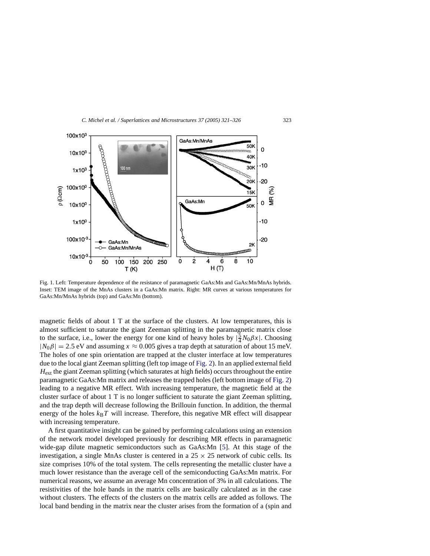<span id="page-2-0"></span>

Fig. 1. Left: Temperature dependence of the resistance of paramagnetic GaAs:Mn and GaAs:Mn/MnAs hybrids. Inset: TEM image of the MnAs clusters in a GaAs:Mn matrix. Right: MR curves at various temperatures for GaAs:Mn/MnAs hybrids (top) and GaAs:Mn (bottom).

magnetic fields of about 1 T at the surface of the clusters. At low temperatures, this is almost sufficient to saturate the giant Zeeman splitting in the paramagnetic matrix close to the surface, i.e., lower the energy for one kind of heavy holes by  $\left|\frac{5}{4}N_0\beta x\right|$ . Choosing  $|N_0\beta| = 2.5$  eV and assuming  $x \approx 0.005$  gives a trap depth at saturation of about 15 meV. The holes of one spin orientation are trapped at the cluster interface at low temperatures due to the local giant Zeeman splitting (left top image of [Fig. 2\)](#page-3-0). In an applied external field *H*ext the giant Zeeman splitting (which saturates at high fields) occurs throughout the entire paramagnetic GaAs:Mn matrix and releases the trapped holes (left bottom image of [Fig. 2\)](#page-3-0) leading to a negative MR effect. With increasing temperature, the magnetic field at the cluster surface of about 1 T is no longer sufficient to saturate the giant Zeeman splitting, and the trap depth will decrease following the Brillouin function. In addition, the thermal energy of the holes  $k_B T$  will increase. Therefore, this negative MR effect will disappear with increasing temperature.

A first quantitative insight can be gained by performing calculations using an extension of the network model developed previously for describing MR effects in paramagnetic wide-gap dilute magnetic semiconductors such as GaAs:Mn [\[5\]](#page-5-1). At this stage of the investigation, a single MnAs cluster is centered in a  $25 \times 25$  network of cubic cells. Its size comprises 10% of the total system. The cells representing the metallic cluster have a much lower resistance than the average cell of the semiconducting GaAs:Mn matrix. For numerical reasons, we assume an average Mn concentration of 3% in all calculations. The resistivities of the hole bands in the matrix cells are basically calculated as in the case without clusters. The effects of the clusters on the matrix cells are added as follows. The local band bending in the matrix near the cluster arises from the formation of a (spin and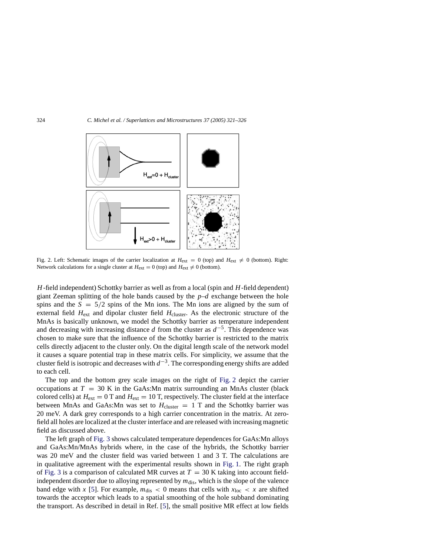<span id="page-3-0"></span>

Fig. 2. Left: Schematic images of the carrier localization at  $H_{ext} = 0$  (top) and  $H_{ext} \neq 0$  (bottom). Right: Network calculations for a single cluster at  $H_{ext} = 0$  (top) and  $H_{ext} \neq 0$  (bottom).

*H*-field independent) Schottky barrier as well as from a local (spin and *H*-field dependent) giant Zeeman splitting of the hole bands caused by the *p*–*d* exchange between the hole spins and the  $S = 5/2$  spins of the Mn ions. The Mn ions are aligned by the sum of external field  $H_{ext}$  and dipolar cluster field  $H_{cluster}$ . As the electronic structure of the MnAs is basically unknown, we model the Schottky barrier as temperature independent and decreasing with increasing distance *d* from the cluster as *d*−5. This dependence was chosen to make sure that the influence of the Schottky barrier is restricted to the matrix cells directly adjacent to the cluster only. On the digital length scale of the network model it causes a square potential trap in these matrix cells. For simplicity, we assume that the cluster field is isotropic and decreases with *d*−3. The corresponding energy shifts are added to each cell.

The top and the bottom grey scale images on the right of [Fig. 2](#page-3-0) depict the carrier occupations at  $T = 30$  K in the GaAs:Mn matrix surrounding an MnAs cluster (black colored cells) at  $H_{ext} = 0$  T and  $H_{ext} = 10$  T, respectively. The cluster field at the interface between MnAs and GaAs:Mn was set to  $H_{\text{cluster}} = 1$  T and the Schottky barrier was 20 meV. A dark grey corresponds to a high carrier concentration in the matrix. At zerofield all holes are localized at the cluster interface and are released with increasing magnetic field as discussed above.

The left graph of [Fig. 3](#page-4-3) shows calculated temperature dependences for GaAs:Mn alloys and GaAs:Mn/MnAs hybrids where, in the case of the hybrids, the Schottky barrier was 20 meV and the cluster field was varied between 1 and 3 T. The calculations are in qualitative agreement with the experimental results shown in [Fig. 1.](#page-2-0) The right graph of [Fig. 3](#page-4-3) is a comparison of calculated MR curves at  $T = 30$  K taking into account fieldindependent disorder due to alloying represented by  $m_{\text{dis}}$ , which is the slope of the valence band edge with *x* [\[5\]](#page-5-1). For example,  $m_{\text{dis}} < 0$  means that cells with  $x_{\text{loc}} < x$  are shifted towards the acceptor which leads to a spatial smoothing of the hole subband dominating the transport. As described in detail in Ref. [\[5\]](#page-5-1), the small positive MR effect at low fields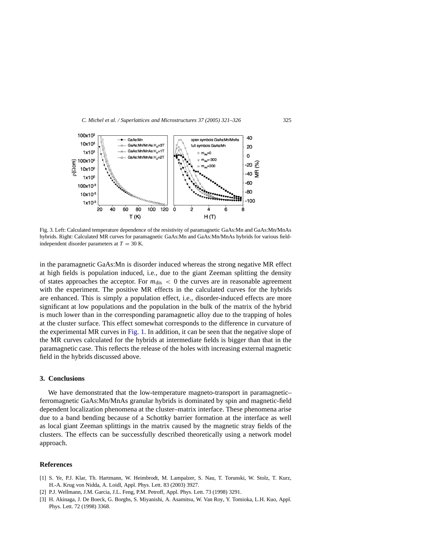<span id="page-4-3"></span>

Fig. 3. Left: Calculated temperature dependence of the resistivity of paramagnetic GaAs:Mn and GaAs:Mn/MnAs hybrids. Right: Calculated MR curves for paramagnetic GaAs:Mn and GaAs:Mn/MnAs hybrids for various fieldindependent disorder parameters at  $T = 30$  K.

in the paramagnetic GaAs:Mn is disorder induced whereas the strong negative MR effect at high fields is population induced, i.e., due to the giant Zeeman splitting the density of states approaches the acceptor. For  $m_{\text{dis}} < 0$  the curves are in reasonable agreement with the experiment. The positive MR effects in the calculated curves for the hybrids are enhanced. This is simply a population effect, i.e., disorder-induced effects are more significant at low populations and the population in the bulk of the matrix of the hybrid is much lower than in the corresponding paramagnetic alloy due to the trapping of holes at the cluster surface. This effect somewhat corresponds to the difference in curvature of the experimental MR curves in [Fig. 1.](#page-2-0) In addition, it can be seen that the negative slope of the MR curves calculated for the hybrids at intermediate fields is bigger than that in the paramagnetic case. This reflects the release of the holes with increasing external magnetic field in the hybrids discussed above.

# **3. Conclusions**

We have demonstrated that the low-temperature magneto-transport in paramagnetic– ferromagnetic GaAs:Mn/MnAs granular hybrids is dominated by spin and magnetic-field dependent localization phenomena at the cluster–matrix interface. These phenomena arise due to a band bending because of a Schottky barrier formation at the interface as well as local giant Zeeman splittings in the matrix caused by the magnetic stray fields of the clusters. The effects can be successfully described theoretically using a network model approach.

#### **References**

- <span id="page-4-0"></span>[1] S. Ye, P.J. Klar, Th. Hartmann, W. Heimbrodt, M. Lampalzer, S. Nau, T. Torunski, W. Stolz, T. Kurz, H.-A. Krug von Nidda, A. Loidl, Appl. Phys. Lett. 83 (2003) 3927.
- <span id="page-4-1"></span>[2] P.J. Wellmann, J.M. Garcia, J.L. Feng, P.M. Petroff, Appl. Phys. Lett. 73 (1998) 3291.
- <span id="page-4-2"></span>[3] H. Akinaga, J. De Boeck, G. Borghs, S. Miyanishi, A. Asamitsu, W. Van Roy, Y. Tomioka, L.H. Kuo, Appl. Phys. Lett. 72 (1998) 3368.